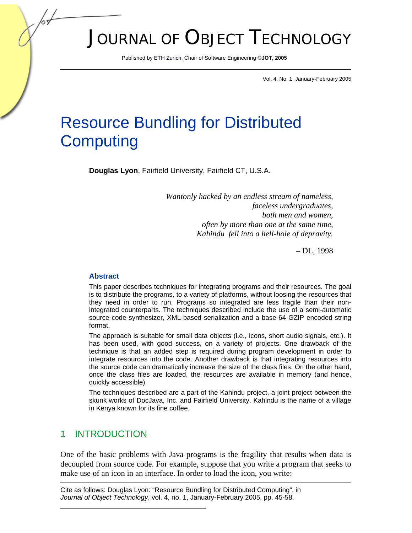# JOURNAL OF OBJECT TECHNOLOGY

Publish[ed by ETH Zurich, Ch](http://www.jot.fm)air of Software Engineering ©**JOT, 2005** 

Vol. 4, No. 1, January-February 2005

# Resource Bundling for Distributed **Computing**

**Douglas Lyon**, Fairfield University, Fairfield CT, U.S.A.

*Wantonly hacked by an endless stream of nameless, faceless undergraduates, both men and women, often by more than one at the same time, Kahindu fell into a hell-hole of depravity.* 

– DL, 1998

#### **Abstract**

This paper describes techniques for integrating programs and their resources. The goal is to distribute the programs, to a variety of platforms, without loosing the resources that they need in order to run. Programs so integrated are less fragile than their nonintegrated counterparts. The techniques described include the use of a semi-automatic source code synthesizer, XML-based serialization and a base-64 GZIP encoded string format.

The approach is suitable for small data objects (i.e., icons, short audio signals, etc.). It has been used, with good success, on a variety of projects. One drawback of the technique is that an added step is required during program development in order to integrate resources into the code. Another drawback is that integrating resources into the source code can dramatically increase the size of the class files. On the other hand, once the class files are loaded, the resources are available in memory (and hence, quickly accessible).

The techniques described are a part of the Kahindu project, a joint project between the skunk works of DocJava, Inc. and Fairfield University. Kahindu is the name of a village in Kenya known for its fine coffee.

## 1 INTRODUCTION

One of the basic problems with Java programs is the fragility that results when data is decoupled from source code. For example, suppose that you write a program that seeks to make use of an icon in an interface. In order to load the icon, you write:

Cite as follows: Douglas Lyon: "Resource Bundling for Distributed Computing", in *[Journal of Object Technology](http://www.jot.fm/issues/issue_2005_01/column4)*, vol. 4, no. 1, January-February 2005, pp. 45-58.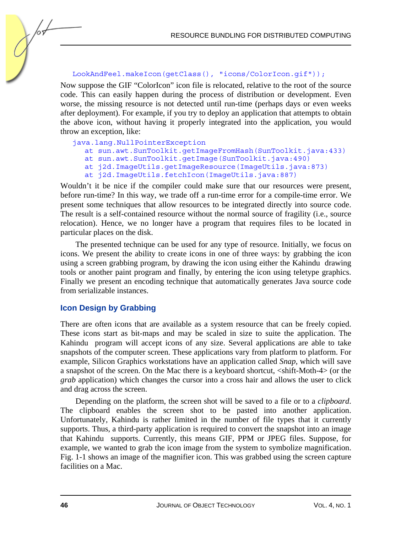#### LookAndFeel.makeIcon(getClass(), "icons/ColorIcon.gif"));

Now suppose the GIF "ColorIcon" icon file is relocated, relative to the root of the source code. This can easily happen during the process of distribution or development. Even worse, the missing resource is not detected until run-time (perhaps days or even weeks after deployment). For example, if you try to deploy an application that attempts to obtain the above icon, without having it properly integrated into the application, you would throw an exception, like:

#### java.lang.NullPointerException

- at sun.awt.SunToolkit.getImageFromHash(SunToolkit.java:433)
- at sun.awt.SunToolkit.getImage(SunToolkit.java:490)
- at j2d.ImageUtils.getImageResource(ImageUtils.java:873)
- at j2d.ImageUtils.fetchIcon(ImageUtils.java:887)

Wouldn't it be nice if the compiler could make sure that our resources were present, before run-time? In this way, we trade off a run-time error for a compile-time error. We present some techniques that allow resources to be integrated directly into source code. The result is a self-contained resource without the normal source of fragility (i.e., source relocation). Hence, we no longer have a program that requires files to be located in particular places on the disk.

The presented technique can be used for any type of resource. Initially, we focus on icons. We present the ability to create icons in one of three ways: by grabbing the icon using a screen grabbing program, by drawing the icon using either the Kahindu drawing tools or another paint program and finally, by entering the icon using teletype graphics. Finally we present an encoding technique that automatically generates Java source code from serializable instances.

### **Icon Design by Grabbing**

There are often icons that are available as a system resource that can be freely copied. These icons start as bit-maps and may be scaled in size to suite the application. The Kahindu program will accept icons of any size. Several applications are able to take snapshots of the computer screen. These applications vary from platform to platform. For example, Silicon Graphics workstations have an application called *Snap*, which will save a snapshot of the screen. On the Mac there is a keyboard shortcut, <shift-Moth-4> (or the *grab* application) which changes the cursor into a cross hair and allows the user to click and drag across the screen.

Depending on the platform, the screen shot will be saved to a file or to a *clipboard*. The clipboard enables the screen shot to be pasted into another application. Unfortunately, Kahindu is rather limited in the number of file types that it currently supports. Thus, a third-party application is required to convert the snapshot into an image that Kahindu supports. Currently, this means GIF, PPM or JPEG files. Suppose, for example, we wanted to grab the icon image from the system to symbolize magnification. Fig. 1-1 shows an image of the magnifier icon. This was grabbed using the screen capture facilities on a Mac.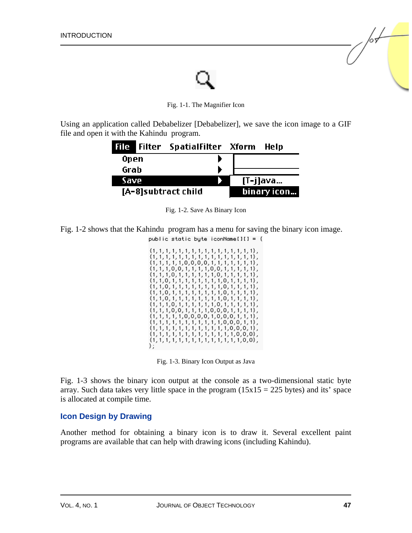Fig. 1-1. The Magnifier Icon

Using an application called Debabelizer [Debabelizer], we save the icon image to a GIF file and open it with the Kahindu program.



Fig. 1-2. Save As Binary Icon

public static byte iconName[][] =  $\{$ 

Fig. 1-2 shows that the Kahindu program has a menu for saving the binary icon image.

| $\{1,1,1,1,1,1,1,1,1,1,1,1,1,1,1,1,1\}$                  |
|----------------------------------------------------------|
| $\{1, 1, 1, 1, 1, 0, 0, 0, 0, 1, 1, 1, 1, 1, 1, 1\}$     |
| $\{1, 1, 1, 0, 0, 1, 1, 1, 1, 0, 0, 1, 1, 1, 1, 1\},$    |
| $\{1, 1, 1, 0, 1, 1, 1, 1, 1, 1, 0, 1, 1, 1, 1, 1\}$     |
| $\{1, 1, 0, 1, 1, 1, 1, 1, 1, 1, 1, 0, 1, 1, 1, 1\},$    |
| $\{1, 1, 0, 1, 1, 1, 1, 1, 1, 1, 1, 0, 1, 1, 1, 1\},$    |
| $\{1, 1, 0, 1, 1, 1, 1, 1, 1, 1, 1, 0, 1, 1, 1, 1\},$    |
| $\{1, 1, 0, 1, 1, 1, 1, 1, 1, 1, 1, 0, 1, 1, 1, 1\},$    |
| $\{1, 1, 1, 0, 1, 1, 1, 1, 1, 1, 0, 1, 1, 1, 1, 1\}$ ,   |
| $\{1, 1, 1, 0, 0, 1, 1, 1, 1, 0, 0, 0, 1, 1, 1, 1\}$ ,   |
| $\{1, 1, 1, 1, 1, 0, 0, 0, 0, 1, 0, 0, 0, 1, 1, 1\}$ ,   |
| $\{1, 1, 1, 1, 1, 1, 1, 1, 1, 1, 1, 0, 0, 0, 1, 1\}$ ,   |
| $\{1, 1, 1, 1, 1, 1, 1, 1, 1, 1, 1, 1, 1, 0, 0, 0, 1\},$ |
|                                                          |
| $\{1,1,1,1,1,1,1,1,1,1,1,1,1,1,1,0,0\}$ ,                |
|                                                          |

Fig. 1-3. Binary Icon Output as Java

Fig. 1-3 shows the binary icon output at the console as a two-dimensional static byte array. Such data takes very little space in the program  $(15x15 = 225$  bytes) and its' space is allocated at compile time.

### **Icon Design by Drawing**

Another method for obtaining a binary icon is to draw it. Several excellent paint programs are available that can help with drawing icons (including Kahindu).

/or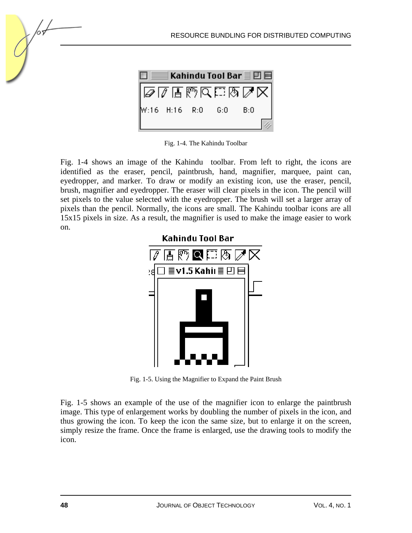

RESOURCE BUNDLING FOR DISTRIBUTED COMPUTING

Fig. 1-4. The Kahindu Toolbar

Fig. 1-4 shows an image of the Kahindu toolbar. From left to right, the icons are identified as the eraser, pencil, paintbrush, hand, magnifier, marquee, paint can, eyedropper, and marker. To draw or modify an existing icon, use the eraser, pencil, brush, magnifier and eyedropper. The eraser will clear pixels in the icon. The pencil will set pixels to the value selected with the eyedropper. The brush will set a larger array of pixels than the pencil. Normally, the icons are small. The Kahindu toolbar icons are all 15x15 pixels in size. As a result, the magnifier is used to make the image easier to work on.



Fig. 1-5. Using the Magnifier to Expand the Paint Brush

Fig. 1-5 shows an example of the use of the magnifier icon to enlarge the paintbrush image. This type of enlargement works by doubling the number of pixels in the icon, and thus growing the icon. To keep the icon the same size, but to enlarge it on the screen, simply resize the frame. Once the frame is enlarged, use the drawing tools to modify the icon.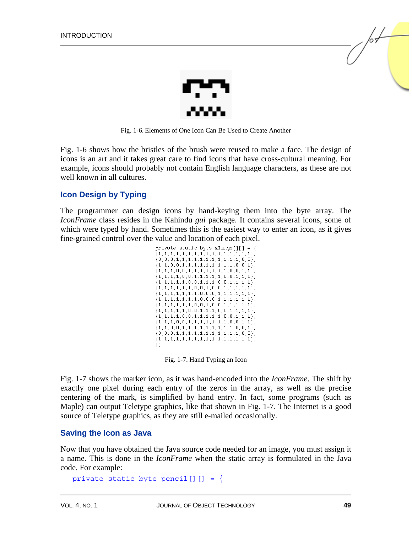

Fig. 1-6. Elements of One Icon Can Be Used to Create Another

Fig. 1-6 shows how the bristles of the brush were reused to make a face. The design of icons is an art and it takes great care to find icons that have cross-cultural meaning. For example, icons should probably not contain English language characters, as these are not well known in all cultures.

#### **Icon Design by Typing**

The programmer can design icons by hand-keying them into the byte array. The *IconFrame* class resides in the Kahindu *gui* package. It contains several icons, some of which were typed by hand. Sometimes this is the easiest way to enter an icon, as it gives fine-grained control over the value and location of each pixel.

| private static byte xImage[][] = {                                                               |
|--------------------------------------------------------------------------------------------------|
| $\{0, 0, 0, 1, 1, 1, 1, 1, 1, 1, 1, 1, 1, 1, 0, 0\}$ ,                                           |
| $\{1, 1, 0, 0, 1, 1, 1, 1, 1, 1, 1, 1, 1, 0, 0, 1\},$                                            |
| $\{1,1,1,0,0,1,1,1,1,1,1,1,0,0,1,1\}$ ,<br>$\{1, 1, 1, 1, 0, 0, 1, 1, 1, 1, 1, 0, 0, 1, 1, 1\},$ |
| $\{1,1,1,1,1,1,0,0,1,1,1,0,0,1,1,1,1\}$ ,                                                        |
| $\{1,1,1,1,1,1,1,0,0,1,0,0,1,1,1,1,1\},\$                                                        |
| $\{1,1,1,1,1,1,1,1,0,0,0,1,1,1,1,1,1\}$                                                          |
| $\{1,1,1,1,1,1,1,1,0,0,0,1,1,1,1,1,1\}$ ,<br>$\{1,1,1,1,1,1,1,0,0,1,0,0,1,1,1,1,1\},$            |
| $\{1,1,1,1,1,1,0,0,1,1,1,0,0,1,1,1,1\},$                                                         |
| $\{1,1,1,1,0,0,1,1,1,1,1,0,0,1,1,1\},$                                                           |
| $\{1,1,1,0,0,1,1,1,1,1,1,1,0,0,1,1\}$                                                            |
| $\{1,1,0,0,1,1,1,1,1,1,1,1,1,1,0,0,1\}$ ,                                                        |
| $\{0,0,0,1,1,1,1,1,1,1,1,1,1,1,1,0,0\}$ ,                                                        |
| Е                                                                                                |
|                                                                                                  |

Fig. 1-7. Hand Typing an Icon

Fig. 1-7 shows the marker icon, as it was hand-encoded into the *IconFrame*. The shift by exactly one pixel during each entry of the zeros in the array, as well as the precise centering of the mark, is simplified by hand entry. In fact, some programs (such as Maple) can output Teletype graphics, like that shown in Fig. 1-7. The Internet is a good source of Teletype graphics, as they are still e-mailed occasionally.

#### **Saving the Icon as Java**

Now that you have obtained the Java source code needed for an image, you must assign it a name. This is done in the *IconFrame* when the static array is formulated in the Java code. For example:

```
private static byte pencil[][] = {
```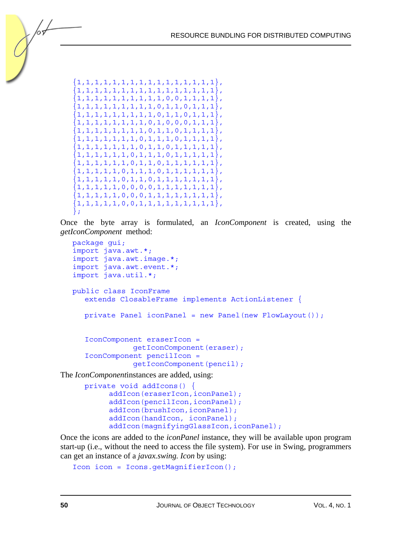```
{1,1,1,1,1,1,1,1,1,1,1,1,1,1,1,1,1}{1,1,1,1,1,1,1,1,1,1,1,1,1,1,1,1}{1,1,1,1,1,1,1,1,1,1,0,0,1,1,1,1}{1,1,1,1,1,1,1,1,1,0,1,1,0,1,1,1}, 
{1,1,1,1,1,1,1,1,1,0,1,1,0,1,1,1}, 
{1,1,1,1,1,1,1,1,0,1,0,0,0,1,1,1}, 
{1,1,1,1,1,1,1,1,0,1,1,0,1,1,1,1}{1,1,1,1,1,1,1,0,1,1,1,0,1,1,1,1}\{1,1,1,1,1,1,1,0,1,1,0,1,1,1,1,1\}{1,1,1,1,1,1,0,1,1,0,1,1,1,1,1,1}{1,1,1,1,1,1,0,1,1,0,1,1,1,1,1,1}{1,1,1,1,1,0,1,1,1,0,1,1,1,1,1,1}{1,1,1,1,1,0,1,1,0,1,1,1,1,1,1,1}\{1,1,1,1,1,0,0,0,0,1,1,1,1,1,1,1\}\{1,1,1,1,1,0,0,0,1,1,1,1,1,1,1,1\}\{1,1,1,1,1,0,0,1,1,1,1,1,1,1,1,1\}};
```
Once the byte array is formulated, an *IconComponent* is created, using the *getIconComponent* method:

```
package gui; 
import java.awt.*; 
import java.awt.image.*; 
import java.awt.event.*; 
import java.util.*; 
public class IconFrame 
   extends ClosableFrame implements ActionListener { 
   private Panel iconPanel = new Panel(new FlowLayout()); 
   IconComponent eraserIcon = 
               getIconComponent(eraser); 
    IconComponent pencilIcon = 
               getIconComponent(pencil);
```
The *IconComponent*instances are added, using:

```
 private void addIcons() { 
     addIcon(eraserIcon,iconPanel);
     addIcon(pencilIcon,iconPanel);
     addIcon(brushIcon,iconPanel);
      addIcon(handIcon, iconPanel); 
     addIcon(magnifyingGlassIcon,iconPanel);
```
Once the icons are added to the *iconPanel* instance, they will be available upon program start-up (i.e., without the need to access the file system). For use in Swing, programmers can get an instance of a *javax.swing. Icon* by using:

```
Icon icon = Icons.getMagnifierIcon();
```
/or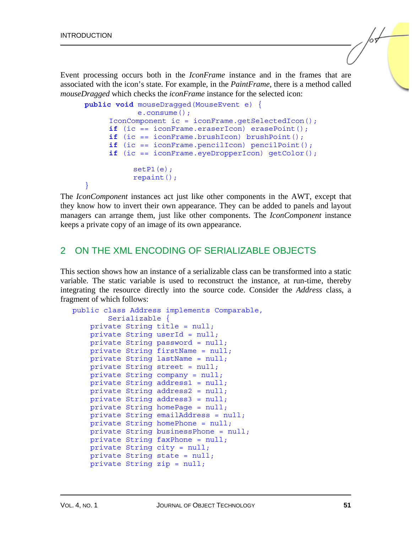Event processing occurs both in the *IconFrame* instance and in the frames that are associated with the icon's state. For example, in the *PaintFrame*, there is a method called *mouseDragged* which checks the *iconFrame* instance for the selected icon:

```
public void mouseDragged(MouseEvent e) { 
             e.consume(); 
       IconComponent ic = iconFrame.getSelectedIcon(); 
       if (ic == iconFrame.eraserIcon) erasePoint(); 
       if (ic == iconFrame.brushIcon) brushPoint(); 
       if (ic == iconFrame.pencilIcon) pencilPoint(); 
       if (ic == iconFrame.eyeDropperIcon) getColor(); 
            setP1(e);
            repaint(); 
 }
```
The *IconComponent* instances act just like other components in the AWT, except that they know how to invert their own appearance. They can be added to panels and layout managers can arrange them, just like other components. The *IconComponent* instance keeps a private copy of an image of its own appearance.

### 2 ON THE XML ENCODING OF SERIALIZABLE OBJECTS

This section shows how an instance of a serializable class can be transformed into a static variable. The static variable is used to reconstruct the instance, at run-time, thereby integrating the resource directly into the source code. Consider the *Address* class, a fragment of which follows:

```
public class Address implements Comparable, 
         Serializable { 
     private String title = null; 
     private String userId = null; 
     private String password = null; 
     private String firstName = null; 
     private String lastName = null; 
     private String street = null; 
     private String company = null; 
     private String address1 = null; 
     private String address2 = null; 
     private String address3 = null; 
     private String homePage = null; 
     private String emailAddress = null; 
     private String homePhone = null; 
     private String businessPhone = null; 
     private String faxPhone = null; 
     private String city = null; 
     private String state = null; 
     private String zip = null;
```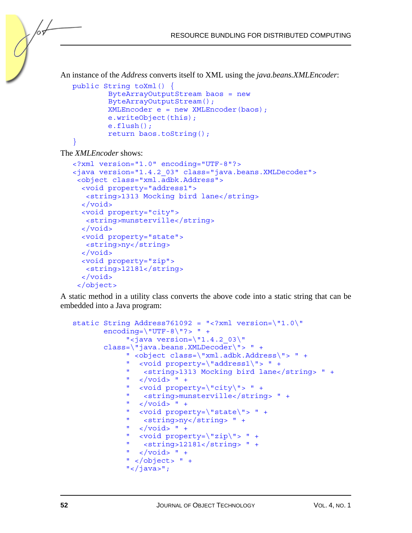```
RESOURCE BUNDLING FOR DISTRIBUTED COMPUTING
```
An instance of the *Address* converts itself to XML using the *java.beans.XMLEncoder*:

```
public String toXml() { 
        ByteArrayOutputStream baos = new 
        ByteArrayOutputStream(); 
         XMLEncoder e = new XMLEncoder(baos); 
         e.writeObject(this); 
         e.flush(); 
         return baos.toString(); 
}
```
The *XMLEncoder* shows:

/or

```
<?xml version="1.0" encoding="UTF-8"?> 
<java version="1.4.2_03" class="java.beans.XMLDecoder"> 
  <object class="xml.adbk.Address"> 
   <void property="address1"> 
    <string>1313 Mocking bird lane</string> 
   </void> 
   <void property="city"> 
    <string>munsterville</string> 
   </void> 
   <void property="state"> 
    <string>ny</string> 
   </void> 
   <void property="zip"> 
    <string>12181</string> 
   </void> 
  </object>
```
A static method in a utility class converts the above code into a static string that can be embedded into a Java program:

```
static String Address761092 = "<?xml version=\"1.0\"
       encoding=\W{^{\texttt{WTF-8}}\} " \rightarrow "
             "<java version=\"1.4.2 03\"
        class=\"java.beans.XMLDecoder\"> " + 
              " <object class=\"xml.adbk.Address\"> " + 
              " <void property=\"address1\"> " + 
              " <string>1313 Mocking bird lane</string> " + 
             " </void> " +
              " <void property=\"city\"> " + 
              " <string>munsterville</string> " + 
             " </void> " +
              " <void property=\"state\"> " + 
              " <string>ny</string> " + 
             " </void> " +
              " <void property=\"zip\"> " + 
              " <string>12181</string> " + 
             " \langle \text{void} \rangle " +
             " </object> " +
             "</java>";
```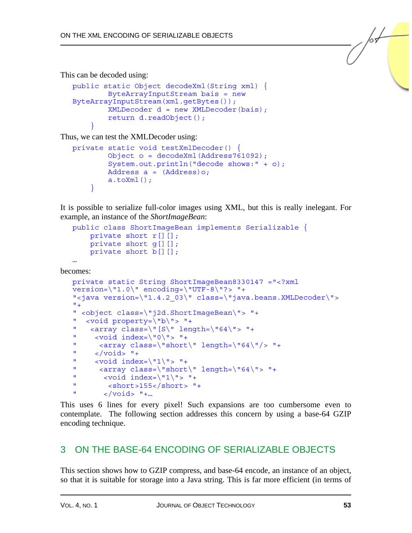This can be decoded using:

```
public static Object decodeXml(String xml) { 
         ByteArrayInputStream bais = new 
ByteArrayInputStream(xml.getBytes()); 
        XMLDecoder d = new XMLDecoder(bais); return d.readObject(); 
 }
```
Thus, we can test the XMLDecoder using:

```
private static void testXmlDecoder() { 
         Object o = decodeXml(Address761092); 
         System.out.println("decode shows:" + o); 
         Address a = (Address)o; 
        a.toXm1();
     }
```
It is possible to serialize full-color images using XML, but this is really inelegant. For example, an instance of the *ShortImageBean*:

```
public class ShortImageBean implements Serializable { 
     private short r[][]; 
    private short q[][];
    private short b[][];
…
```
becomes:

```
private static String ShortImageBean8330147 ="<?xml 
version=\"1.0\" encoding=\"UTF-8\"?> "+
"<java version=\"1.4.2_03\" class=\"java.beans.XMLDecoder\"> 
^{\mathrm{m}} +
" <object class=\"j2d.ShortImageBean\"> "+ 
" <void property=\"b\"> "+ 
" <array class=\|S\| length=\|64\|"> "+
       \left| \text{vold index} \right| \leq \frac{1}{\sqrt{2}}" \langle \text{array class} \rangle"short\" length=\"64\"/> "+
       " </void> "+ 
" \left\{\text{void index} = \frac{1}{1}, \frac{1}{5}, \frac{1}{4}\right\}" \langle \text{array class} \rangle \text{ "short} \text{ length} = \frac{4}{15} + \frac{1}{15}" \left\{\text{void index} \right\} \mid 1 \mid \text{'} > \text{''+}" <short>155</short> "+ 
" \langle \text{void} \rangle "+...
```
This uses 6 lines for every pixel! Such expansions are too cumbersome even to contemplate. The following section addresses this concern by using a base-64 GZIP encoding technique.

# 3 ON THE BASE-64 ENCODING OF SERIALIZABLE OBJECTS

This section shows how to GZIP compress, and base-64 encode, an instance of an object, so that it is suitable for storage into a Java string. This is far more efficient (in terms of  $\sqrt{\frac{1}{2}}$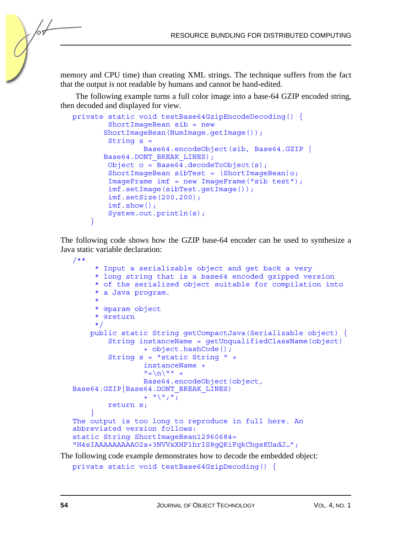memory and CPU time) than creating XML strings. The technique suffers from the fact that the output is not readable by humans and cannot be hand-edited.

The following example turns a full color image into a base-64 GZIP encoded string, then decoded and displayed for view.

```
private static void testBase64GzipEncodeDecoding() { 
         ShortImageBean sib = new 
        ShortImageBean(NumImage.getImage()); 
         String s = 
                  Base64.encodeObject(sib, Base64.GZIP | 
       Base64.DONT_BREAK_LINES);
        Object o = Base64.decodeToObject(s);
         ShortImageBean sibTest = (ShortImageBean)o; 
         ImageFrame imf = new ImageFrame("sib test"); 
         imf.setImage(sibTest.getImage()); 
         imf.setSize(200,200); 
         imf.show(); 
         System.out.println(s); 
     }
```
The following code shows how the GZIP base-64 encoder can be used to synthesize a Java static variable declaration:

```
/** 
      * Input a serializable object and get back a very 
      * long string that is a base64 encoded gzipped version 
      * of the serialized object suitable for compilation into 
      * a Java program. 
\star * @param object 
      * @return 
      */ 
     public static String getCompactJava(Serializable object) { 
          String instanceName = getUnqualifiedClassName(object) 
                   + object.hashCode(); 
          String s = "static String " + 
                   instanceName + 
                  "=\n\begin{array}{ccc}\nn'&n'\\n'&n'\\n\end{array} Base64.encodeObject(object, 
Base64.GZIP|Base64.DONT_BREAK_LINES) 
                 + "\n\ \\n\";";
         return s; 
 } 
The output is too long to reproduce in full here. An 
abbreviated version follows: 
static String ShortImageBean12960684= 
"H4sIAAAAAAAAAO2a+3NVVxXHF1hrIS8gQKiFqkChgsKUadJ…";
```
The following code example demonstrates how to decode the embedded object:

```
private static void testBase64GzipDecoding() {
```
/or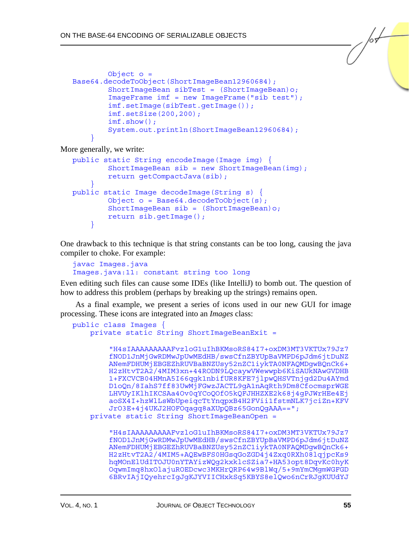```
 Object o = 
Base64.decodeToObject(ShortImageBean12960684); 
         ShortImageBean sibTest = (ShortImageBean)o; 
         ImageFrame imf = new ImageFrame("sib test"); 
         imf.setImage(sibTest.getImage()); 
         imf.setSize(200,200); 
         imf.show(); 
         System.out.println(ShortImageBean12960684); 
 }
```
More generally, we write:

```
public static String encodeImage(Image img) { 
        ShortImageBean sib = new ShortImageBean (imq);
         return getCompactJava(sib); 
 } 
public static Image decodeImage(String s) { 
        Object o = Base64.decodeToObject(s); ShortImageBean sib = (ShortImageBean)o; 
         return sib.getImage(); 
     }
```
One drawback to this technique is that string constants can be too long, causing the java compiler to choke. For example:

```
javac Images.java 
Images.java:11: constant string too long
```
Even editing such files can cause some IDEs (like IntelliJ) to bomb out. The question of how to address this problem (perhaps by breaking up the strings) remains open.

As a final example, we present a series of icons used in our new GUI for image processing. These icons are integrated into an *Images* class:

```
public class Images { 
     private static String ShortImageBeanExit =
```

```
"H4sIAAAAAAAAAFvzloG1uIhBKMsoRS84I7+oxDM3MT3VKTUx79Jz7
    fNOD1JnMjGwRDMwJpUwMEdHB/swsCfnZBYUpBaVMPD6pJdm6jtDuNZ
    ANemFDHUMjEBGEZhRUVBaBNZUsy52nZC1iykTA0NFAQMDgwBQnCk6+
    H2zHtvT2A2/4MIM3xn+44RODN9LQcaywVWewwpb6KiSAUkNAwGVDHB
    1+FXCVCB04HMnA5I66qgk1nbifUR8KFE7jlpwQHSVTnjgd2Du4AYmd
    D1oQn/8IahS7ff83UwMjFGwzJACTL9gA1nAqRth9Dm8CfocmsprWGE
    LHVUyIKlhIKCSAa4Ov0qYCoQOfO5kQFJHHZXE2k68j4gPJWrHEe4Ej
    aoSX4I+hzWlLsWbUpeiqcTtYnqpxB4H2FVii1fstmNLK7jciZn+KFV
    JrO3E+4j4UKJ2HOFOqagq8aXUpQBz65GonQgAAA=="; 
 private static String ShortImageBeanOpen =
```
"H4sIAAAAAAAAAFvzloG1uIhBKMsoRS84I7+oxDM3MT3VKTUx79Jz7 fNOD1JnMjGwRDMwJpUwMEdHB/swsCfnZBYUpBaVMPD6pJdm6jtDuNZ ANemFDHUMjEBGEZhRUVBaBNZUsy52nZC1iykTA0NFAQMDgwBQnCk6+ H2zHtvT2A2/4MIM5+AQEwBFS0HGsqGoZGD4j4Zxq0RXh08lqjpcKs9 hqMOnElUdITOJU0nYTAYizWQg2kxklcSZia7+HA53opt8DqvKc0hyK OqwmImq8hxOlajuROEDcwc3MKHrQRP64w9BlWq/5+9mYmCMgmWGFGD 6BRvIAjIQyehrcIgJgKJYVIICHxkSq5KBYS8elQwo6nCrRJgKUUdYJ

 $\sqrt{\frac{1}{2}}$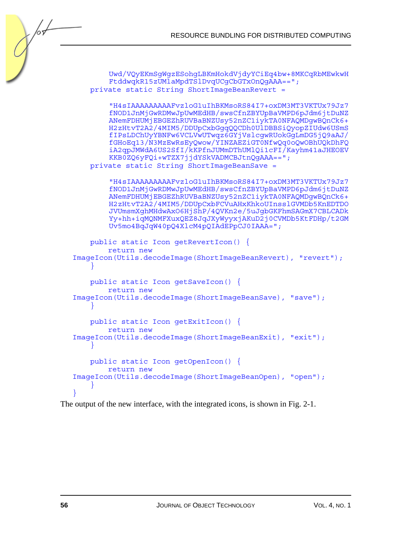```
Uwd/VQyEKmSgWgzESohgLBKmHokdVjdyYCiEq4bw+8MKCqRbMEwkwH
        FtddwqkR15zUMlaMpdTSlDvqUCgCbGTxOnQgAAA=="; 
    private static String ShortImageBeanRevert = 
        "H4sIAAAAAAAAAFvzloG1uIhBKMsoRS84I7+oxDM3MT3VKTUx79Jz7
        fNOD1JnMjGwRDMwJpUwMEdHB/swsCfnZBYUpBaVMPD6pJdm6jtDuNZ
        ANemFDHUMjEBGEZhRUVBaBNZUsy52nZC1iykTA0NFAQMDgwBQnCk6+
        H2zHtvT2A2/4MIM5/DDUpCxbGgqQQCDh0UlDBBSiQyopZIUdw6USmS
        fIPsLDChUyYBNFw6VCLVwUTwqz6GYjVslcgwRUokGgLmDG5jQ9aAJ/
        fGHoEq13/N3MzEwRsEyQwow/YINZAEZiGT0NfwQq0oQwOBhUQkDhFQ
        iA2qpJMWdA6US2SfI/kKPfnJUMmDThUMlQi1cFI/Kayhm41aJHEOEV
        KKB0ZQ6yFQi+wTZX7jjdYSkVADMCBJtnQqAAA==";
    private static String ShortImageBeanSave = 
        "H4sIAAAAAAAAAFvzloG1uIhBKMsoRS84I7+oxDM3MT3VKTUx79Jz7
        fNOD1JnMjGwRDMwJpUwMEdHB/swsCfnZBYUpBaVMPD6pJdm6jtDuNZ
        ANemFDHUMjEBGEZhRUVBaBNZUsy52nZC1iykTA0NFAQMDgwBQnCk6+
        H2zHtvT2A2/4MIM5/DDUpCxbFCVuAHxKhkoUInsslGVMDb5KnEDTDO
        JVUmsmXghMHdwAxO6HjShP/4QVKn2e/5uJgbGKFhmSAGmX7CBLCADk
        Yy+hh+iqMQNMFXuxQEZ8JqJXyWyyxjAKuD2j0CVMDb5KtFDHp/t2GM
        Uv5mo4BqJqW40pQ4XlcM4pQIAdEPpCJ0IAAA="; 
    public static Icon getRevertIcon() { 
         return new 
ImageIcon(Utils.decodeImage(ShortImageBeanRevert), "revert"); 
 } 
    public static Icon getSaveIcon() { 
         return new 
ImageIcon(Utils.decodeImage(ShortImageBeanSave), "save"); 
 } 
    public static Icon getExitIcon() { 
         return new 
ImageIcon(Utils.decodeImage(ShortImageBeanExit), "exit"); 
 } 
    public static Icon getOpenIcon() { 
         return new 
ImageIcon(Utils.decodeImage(ShortImageBeanOpen), "open"); 
 } 
}
```
The output of the new interface, with the integrated icons, is shown in Fig. 2-1.

 $\sqrt{\frac{1}{2}}$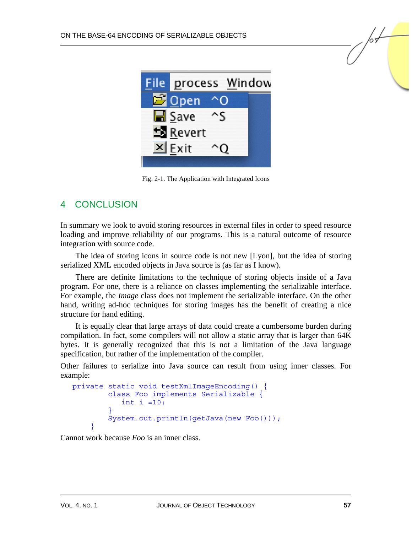

Fig. 2-1. The Application with Integrated Icons

# 4 CONCLUSION

In summary we look to avoid storing resources in external files in order to speed resource loading and improve reliability of our programs. This is a natural outcome of resource integration with source code.

The idea of storing icons in source code is not new [Lyon], but the idea of storing serialized XML encoded objects in Java source is (as far as I know).

There are definite limitations to the technique of storing objects inside of a Java program. For one, there is a reliance on classes implementing the serializable interface. For example, the *Image* class does not implement the serializable interface. On the other hand, writing ad-hoc techniques for storing images has the benefit of creating a nice structure for hand editing.

It is equally clear that large arrays of data could create a cumbersome burden during compilation. In fact, some compilers will not allow a static array that is larger than 64K bytes. It is generally recognized that this is not a limitation of the Java language specification, but rather of the implementation of the compiler.

Other failures to serialize into Java source can result from using inner classes. For example:

```
private static void testXmlImageEncoding() { 
        class Foo implements Serializable { 
          int i =10; } 
       System.out.println(getJava(new Foo()));
 }
```
Cannot work because *Foo* is an inner class.